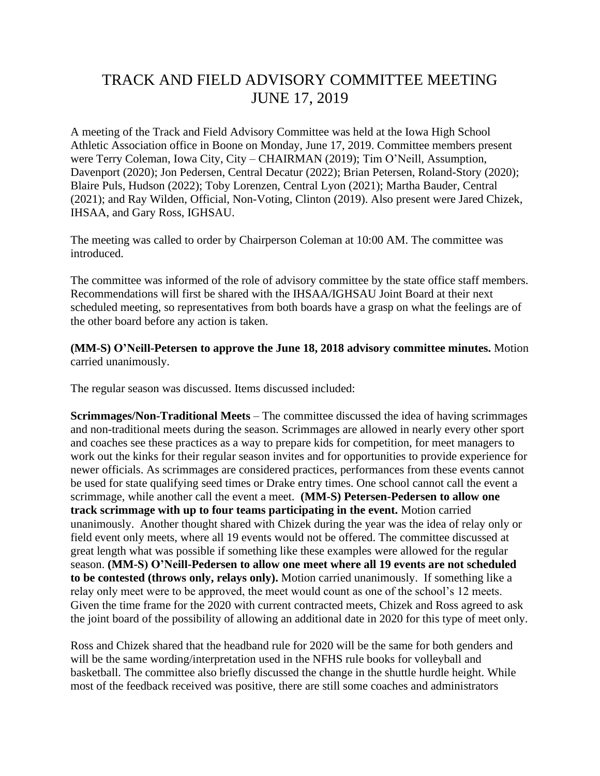## TRACK AND FIELD ADVISORY COMMITTEE MEETING JUNE 17, 2019

A meeting of the Track and Field Advisory Committee was held at the Iowa High School Athletic Association office in Boone on Monday, June 17, 2019. Committee members present were Terry Coleman, Iowa City, City – CHAIRMAN (2019); Tim O'Neill, Assumption, Davenport (2020); Jon Pedersen, Central Decatur (2022); Brian Petersen, Roland-Story (2020); Blaire Puls, Hudson (2022); Toby Lorenzen, Central Lyon (2021); Martha Bauder, Central (2021); and Ray Wilden, Official, Non-Voting, Clinton (2019). Also present were Jared Chizek, IHSAA, and Gary Ross, IGHSAU.

The meeting was called to order by Chairperson Coleman at 10:00 AM. The committee was introduced.

The committee was informed of the role of advisory committee by the state office staff members. Recommendations will first be shared with the IHSAA/IGHSAU Joint Board at their next scheduled meeting, so representatives from both boards have a grasp on what the feelings are of the other board before any action is taken.

**(MM-S) O'Neill-Petersen to approve the June 18, 2018 advisory committee minutes.** Motion carried unanimously.

The regular season was discussed. Items discussed included:

**Scrimmages/Non-Traditional Meets** – The committee discussed the idea of having scrimmages and non-traditional meets during the season. Scrimmages are allowed in nearly every other sport and coaches see these practices as a way to prepare kids for competition, for meet managers to work out the kinks for their regular season invites and for opportunities to provide experience for newer officials. As scrimmages are considered practices, performances from these events cannot be used for state qualifying seed times or Drake entry times. One school cannot call the event a scrimmage, while another call the event a meet. **(MM-S) Petersen-Pedersen to allow one track scrimmage with up to four teams participating in the event.** Motion carried unanimously. Another thought shared with Chizek during the year was the idea of relay only or field event only meets, where all 19 events would not be offered. The committee discussed at great length what was possible if something like these examples were allowed for the regular season. **(MM-S) O'Neill-Pedersen to allow one meet where all 19 events are not scheduled to be contested (throws only, relays only).** Motion carried unanimously. If something like a relay only meet were to be approved, the meet would count as one of the school's 12 meets. Given the time frame for the 2020 with current contracted meets, Chizek and Ross agreed to ask the joint board of the possibility of allowing an additional date in 2020 for this type of meet only.

Ross and Chizek shared that the headband rule for 2020 will be the same for both genders and will be the same wording/interpretation used in the NFHS rule books for volleyball and basketball. The committee also briefly discussed the change in the shuttle hurdle height. While most of the feedback received was positive, there are still some coaches and administrators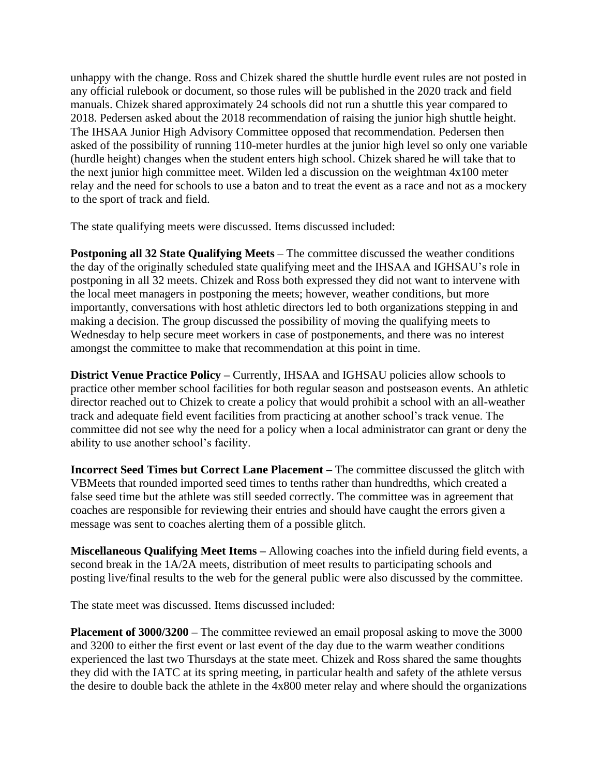unhappy with the change. Ross and Chizek shared the shuttle hurdle event rules are not posted in any official rulebook or document, so those rules will be published in the 2020 track and field manuals. Chizek shared approximately 24 schools did not run a shuttle this year compared to 2018. Pedersen asked about the 2018 recommendation of raising the junior high shuttle height. The IHSAA Junior High Advisory Committee opposed that recommendation. Pedersen then asked of the possibility of running 110-meter hurdles at the junior high level so only one variable (hurdle height) changes when the student enters high school. Chizek shared he will take that to the next junior high committee meet. Wilden led a discussion on the weightman 4x100 meter relay and the need for schools to use a baton and to treat the event as a race and not as a mockery to the sport of track and field.

The state qualifying meets were discussed. Items discussed included:

**Postponing all 32 State Qualifying Meets** – The committee discussed the weather conditions the day of the originally scheduled state qualifying meet and the IHSAA and IGHSAU's role in postponing in all 32 meets. Chizek and Ross both expressed they did not want to intervene with the local meet managers in postponing the meets; however, weather conditions, but more importantly, conversations with host athletic directors led to both organizations stepping in and making a decision. The group discussed the possibility of moving the qualifying meets to Wednesday to help secure meet workers in case of postponements, and there was no interest amongst the committee to make that recommendation at this point in time.

**District Venue Practice Policy –** Currently, IHSAA and IGHSAU policies allow schools to practice other member school facilities for both regular season and postseason events. An athletic director reached out to Chizek to create a policy that would prohibit a school with an all-weather track and adequate field event facilities from practicing at another school's track venue. The committee did not see why the need for a policy when a local administrator can grant or deny the ability to use another school's facility.

**Incorrect Seed Times but Correct Lane Placement –** The committee discussed the glitch with VBMeets that rounded imported seed times to tenths rather than hundredths, which created a false seed time but the athlete was still seeded correctly. The committee was in agreement that coaches are responsible for reviewing their entries and should have caught the errors given a message was sent to coaches alerting them of a possible glitch.

**Miscellaneous Qualifying Meet Items –** Allowing coaches into the infield during field events, a second break in the 1A/2A meets, distribution of meet results to participating schools and posting live/final results to the web for the general public were also discussed by the committee.

The state meet was discussed. Items discussed included:

**Placement of 3000/3200** – The committee reviewed an email proposal asking to move the 3000 and 3200 to either the first event or last event of the day due to the warm weather conditions experienced the last two Thursdays at the state meet. Chizek and Ross shared the same thoughts they did with the IATC at its spring meeting, in particular health and safety of the athlete versus the desire to double back the athlete in the 4x800 meter relay and where should the organizations